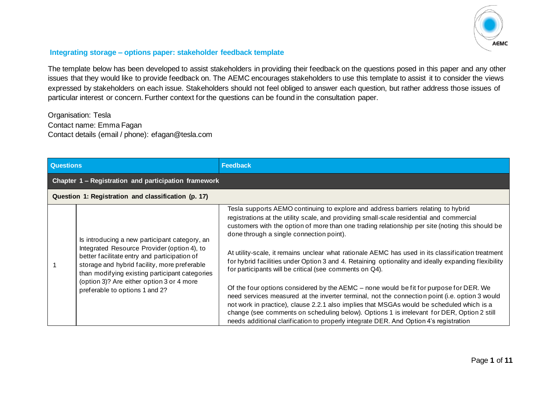

## **Integrating storage – options paper: stakeholder feedback template**

The template below has been developed to assist stakeholders in providing their feedback on the questions posed in this paper and any other issues that they would like to provide feedback on. The AEMC encourages stakeholders to use this template to assist it to consider the views expressed by stakeholders on each issue. Stakeholders should not feel obliged to answer each question, but rather address those issues of particular interest or concern. Further context for the questions can be found in the consultation paper.

Organisation: Tesla Contact name: Emma Fagan Contact details (email / phone): efagan@tesla.com

| <b>Questions</b> |                                                                                                                                                                                                                                                                                                                               | <b>Feedback</b>                                                                                                                                                                                                                                                                                                                                                                                                                                                                                                                                                                                                                                                                                                                                                                                                                                                                                                                                                                                                                                                                     |  |
|------------------|-------------------------------------------------------------------------------------------------------------------------------------------------------------------------------------------------------------------------------------------------------------------------------------------------------------------------------|-------------------------------------------------------------------------------------------------------------------------------------------------------------------------------------------------------------------------------------------------------------------------------------------------------------------------------------------------------------------------------------------------------------------------------------------------------------------------------------------------------------------------------------------------------------------------------------------------------------------------------------------------------------------------------------------------------------------------------------------------------------------------------------------------------------------------------------------------------------------------------------------------------------------------------------------------------------------------------------------------------------------------------------------------------------------------------------|--|
|                  | Chapter 1 - Registration and participation framework                                                                                                                                                                                                                                                                          |                                                                                                                                                                                                                                                                                                                                                                                                                                                                                                                                                                                                                                                                                                                                                                                                                                                                                                                                                                                                                                                                                     |  |
|                  | Question 1: Registration and classification (p. 17)                                                                                                                                                                                                                                                                           |                                                                                                                                                                                                                                                                                                                                                                                                                                                                                                                                                                                                                                                                                                                                                                                                                                                                                                                                                                                                                                                                                     |  |
|                  | Is introducing a new participant category, an<br>Integrated Resource Provider (option 4), to<br>better facilitate entry and participation of<br>storage and hybrid facility, more preferable<br>than modifying existing participant categories<br>(option 3)? Are either option 3 or 4 more<br>preferable to options 1 and 2? | Tesla supports AEMO continuing to explore and address barriers relating to hybrid<br>registrations at the utility scale, and providing small-scale residential and commercial<br>customers with the option of more than one trading relationship per site (noting this should be<br>done through a single connection point).<br>At utility-scale, it remains unclear what rationale AEMC has used in its classification treatment<br>for hybrid facilities under Option 3 and 4. Retaining optionality and ideally expanding flexibility<br>for participants will be critical (see comments on Q4).<br>Of the four options considered by the AEMC – none would be fit for purpose for DER. We<br>need services measured at the inverter terminal, not the connection point (i.e. option 3 would<br>not work in practice), clause 2.2.1 also implies that MSGAs would be scheduled which is a<br>change (see comments on scheduling below). Options 1 is irrelevant for DER, Option 2 still<br>needs additional clarification to properly integrate DER. And Option 4's registration |  |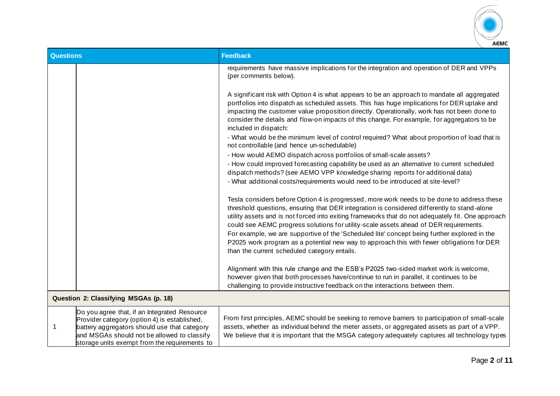

| <b>Questions</b> |                                                                                                                                                                                                                                              | <b>Feedback</b>                                                                                                                                                                                                                                                                                                                                                                                                                                                                                                                                                                                                                      |  |
|------------------|----------------------------------------------------------------------------------------------------------------------------------------------------------------------------------------------------------------------------------------------|--------------------------------------------------------------------------------------------------------------------------------------------------------------------------------------------------------------------------------------------------------------------------------------------------------------------------------------------------------------------------------------------------------------------------------------------------------------------------------------------------------------------------------------------------------------------------------------------------------------------------------------|--|
|                  |                                                                                                                                                                                                                                              | requirements have massive implications for the integration and operation of DER and VPPs<br>(per comments below).                                                                                                                                                                                                                                                                                                                                                                                                                                                                                                                    |  |
|                  |                                                                                                                                                                                                                                              | A significant risk with Option 4 is what appears to be an approach to mandate all aggregated<br>portfolios into dispatch as scheduled assets. This has huge implications for DER uptake and<br>impacting the customer value proposition directly. Operationally, work has not been done to<br>consider the details and flow-on impacts of this change. For example, for aggregators to be<br>included in dispatch:                                                                                                                                                                                                                   |  |
|                  |                                                                                                                                                                                                                                              | - What would be the minimum level of control required? What about proportion of load that is<br>not controllable (and hence un-schedulable)                                                                                                                                                                                                                                                                                                                                                                                                                                                                                          |  |
|                  |                                                                                                                                                                                                                                              | - How would AEMO dispatch across portfolios of small-scale assets?<br>- How could improved forecasting capability be used as an alternative to current scheduled<br>dispatch methods? (see AEMO VPP knowledge sharing reports for additional data)<br>- What additional costs/requirements would need to be introduced at site-level?                                                                                                                                                                                                                                                                                                |  |
|                  |                                                                                                                                                                                                                                              | Tesla considers before Option 4 is progressed, more work needs to be done to address these<br>threshold questions, ensuring that DER integration is considered differently to stand-alone<br>utility assets and is not forced into exiting frameworks that do not adequately fit. One approach<br>could see AEMC progress solutions for utility-scale assets ahead of DER requirements.<br>For example, we are supportive of the 'Scheduled lite' concept being further explored in the<br>P2025 work program as a potential new way to approach this with fewer obligations for DER<br>than the current scheduled category entails. |  |
|                  |                                                                                                                                                                                                                                              | Alignment with this rule change and the ESB's P2025 two-sided market work is welcome,<br>however given that both processes have/continue to run in parallel, it continues to be<br>challenging to provide instructive feedback on the interactions between them.                                                                                                                                                                                                                                                                                                                                                                     |  |
|                  | Question 2: Classifying MSGAs (p. 18)                                                                                                                                                                                                        |                                                                                                                                                                                                                                                                                                                                                                                                                                                                                                                                                                                                                                      |  |
| -1               | Do you agree that, if an Integrated Resource<br>Provider category (option 4) is established,<br>battery aggregators should use that category<br>and MSGAs should not be allowed to classify<br>storage units exempt from the requirements to | From first principles, AEMC should be seeking to remove barriers to participation of small-scale<br>assets, whether as individual behind the meter assets, or aggregated assets as part of a VPP.<br>We believe that it is important that the MSGA category adequately captures all technology types                                                                                                                                                                                                                                                                                                                                 |  |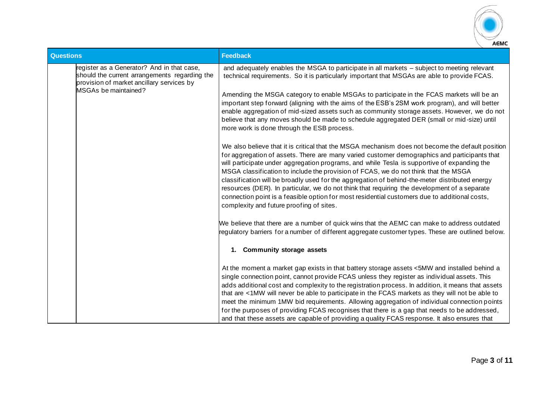

| <b>Questions</b>                                                                                                                         | <b>Feedback</b>                                                                                                                                                                                                                                                                                                                                                                                                                                                                                                                                                                                                                                                                                                                       |
|------------------------------------------------------------------------------------------------------------------------------------------|---------------------------------------------------------------------------------------------------------------------------------------------------------------------------------------------------------------------------------------------------------------------------------------------------------------------------------------------------------------------------------------------------------------------------------------------------------------------------------------------------------------------------------------------------------------------------------------------------------------------------------------------------------------------------------------------------------------------------------------|
| register as a Generator? And in that case,<br>should the current arrangements regarding the<br>provision of market ancillary services by | and adequately enables the MSGA to participate in all markets - subject to meeting relevant<br>technical requirements. So it is particularly important that MSGAs are able to provide FCAS.                                                                                                                                                                                                                                                                                                                                                                                                                                                                                                                                           |
| MSGAs be maintained?                                                                                                                     | Amending the MSGA category to enable MSGAs to participate in the FCAS markets will be an<br>important step forward (aligning with the aims of the ESB's 2SM work program), and will better<br>enable aggregation of mid-sized assets such as community storage assets. However, we do not<br>believe that any moves should be made to schedule aggregated DER (small or mid-size) until<br>more work is done through the ESB process.                                                                                                                                                                                                                                                                                                 |
|                                                                                                                                          | We also believe that it is critical that the MSGA mechanism does not become the default position<br>for aggregation of assets. There are many varied customer demographics and participants that<br>will participate under aggregation programs, and while Tesla is supportive of expanding the<br>MSGA classification to include the provision of FCAS, we do not think that the MSGA<br>classification will be broadly used for the aggregation of behind-the-meter distributed energy<br>resources (DER). In particular, we do not think that requiring the development of a separate<br>connection point is a feasible option for most residential customers due to additional costs,<br>complexity and future proofing of sites. |
|                                                                                                                                          | We believe that there are a number of quick wins that the AEMC can make to address outdated<br>regulatory barriers for a number of different aggregate customer types. These are outlined below.                                                                                                                                                                                                                                                                                                                                                                                                                                                                                                                                      |
|                                                                                                                                          | 1. Community storage assets                                                                                                                                                                                                                                                                                                                                                                                                                                                                                                                                                                                                                                                                                                           |
|                                                                                                                                          | At the moment a market gap exists in that battery storage assets <5MW and installed behind a<br>single connection point, cannot provide FCAS unless they register as individual assets. This<br>adds additional cost and complexity to the registration process. In addition, it means that assets<br>that are <1MW will never be able to participate in the FCAS markets as they will not be able to<br>meet the minimum 1MW bid requirements. Allowing aggregation of individual connection points<br>for the purposes of providing FCAS recognises that there is a gap that needs to be addressed,<br>and that these assets are capable of providing a quality FCAS response. It also ensures that                                 |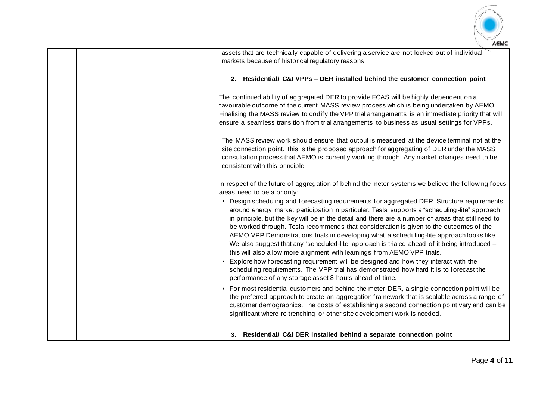

| <b>LONG</b>                                                                                                                                                                                                                                                                                                                                                                                                                                                                                                                                                                                                                                                                                                                                                                                                                                                                                                        |
|--------------------------------------------------------------------------------------------------------------------------------------------------------------------------------------------------------------------------------------------------------------------------------------------------------------------------------------------------------------------------------------------------------------------------------------------------------------------------------------------------------------------------------------------------------------------------------------------------------------------------------------------------------------------------------------------------------------------------------------------------------------------------------------------------------------------------------------------------------------------------------------------------------------------|
| assets that are technically capable of delivering a service are not locked out of individual<br>markets because of historical regulatory reasons.                                                                                                                                                                                                                                                                                                                                                                                                                                                                                                                                                                                                                                                                                                                                                                  |
| 2. Residential/ C&I VPPs - DER installed behind the customer connection point                                                                                                                                                                                                                                                                                                                                                                                                                                                                                                                                                                                                                                                                                                                                                                                                                                      |
| The continued ability of aggregated DER to provide FCAS will be highly dependent on a<br>favourable outcome of the current MASS review process which is being undertaken by AEMO.<br>Finalising the MASS review to codify the VPP trial arrangements is an immediate priority that will<br>ensure a seamless transition from trial arrangements to business as usual settings for VPPs.                                                                                                                                                                                                                                                                                                                                                                                                                                                                                                                            |
| The MASS review work should ensure that output is measured at the device terminal not at the<br>site connection point. This is the proposed approach for aggregating of DER under the MASS<br>consultation process that AEMO is currently working through. Any market changes need to be<br>consistent with this principle.                                                                                                                                                                                                                                                                                                                                                                                                                                                                                                                                                                                        |
| In respect of the future of aggregation of behind the meter systems we believe the following focus<br>areas need to be a priority:                                                                                                                                                                                                                                                                                                                                                                                                                                                                                                                                                                                                                                                                                                                                                                                 |
| • Design scheduling and forecasting requirements for aggregated DER. Structure requirements<br>around energy market participation in particular. Tesla supports a "scheduling-lite" approach<br>in principle, but the key will be in the detail and there are a number of areas that still need to<br>be worked through. Tesla recommends that consideration is given to the outcomes of the<br>AEMO VPP Demonstrations trials in developing what a scheduling-lite approach looks like.<br>We also suggest that any 'scheduled-lite' approach is trialed ahead of it being introduced -<br>this will also allow more alignment with learnings from AEMO VPP trials.<br>- Explore how forecasting requirement will be designed and how they interact with the<br>scheduling requirements. The VPP trial has demonstrated how hard it is to forecast the<br>performance of any storage asset 8 hours ahead of time. |
| • For most residential customers and behind-the-meter DER, a single connection point will be<br>the preferred approach to create an aggregation framework that is scalable across a range of<br>customer demographics. The costs of establishing a second connection point vary and can be<br>significant where re-trenching or other site development work is needed.                                                                                                                                                                                                                                                                                                                                                                                                                                                                                                                                             |
| 3. Residential/ C&I DER installed behind a separate connection point                                                                                                                                                                                                                                                                                                                                                                                                                                                                                                                                                                                                                                                                                                                                                                                                                                               |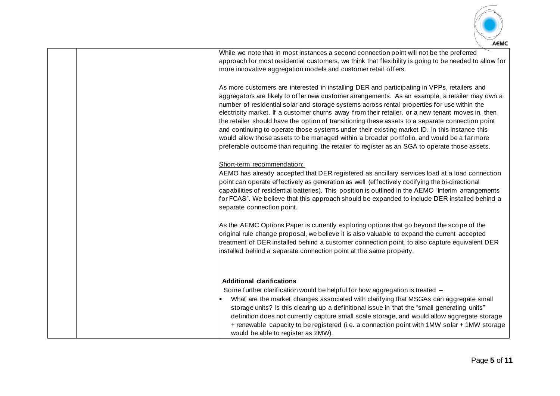

approach for most residential customers, we think that flexibility is going to be needed to allow for more innovative aggregation models and customer retail offers. As more customers are interested in installing DER and participating in VPPs, retailers and aggregators are likely to offer new customer arrangements. As an example, a retailer may own a number of residential solar and storage systems across rental properties for use within the electricity market. If a customer churns away from their retailer, or a new tenant moves in, then the retailer should have the option of transitioning these assets to a separate connection point and continuing to operate those systems under their existing market ID. In this instance this would allow those assets to be managed within a broader portfolio, and would be a far more preferable outcome than requiring the retailer to register as an SGA to operate those assets. Short-term recommendation: AEMO has already accepted that DER registered as ancillary services load at a load connection

While we note that in most instances a second connection point will not be the preferred

point can operate effectively as generation as well (effectively codifying the bi-directional capabilities of residential batteries). This position is outlined in the AEMO "Interim arrangements for FCAS". We believe that this approach should be expanded to include DER installed behind a separate connection point.

As the AEMC Options Paper is currently exploring options that go beyond the scope of the original rule change proposal, we believe it is also valuable to expand the current accepted treatment of DER installed behind a customer connection point, to also capture equivalent DER installed behind a separate connection point at the same property.

## **Additional clarifications**

Some further clarification would be helpful for how aggregation is treated –

What are the market changes associated with clarifying that MSGAs can aggregate small storage units? Is this clearing up a definitional issue in that the "small generating units" definition does not currently capture small scale storage, and would allow aggregate storage + renewable capacity to be registered (i.e. a connection point with 1MW solar + 1MW storage would be able to register as 2MW).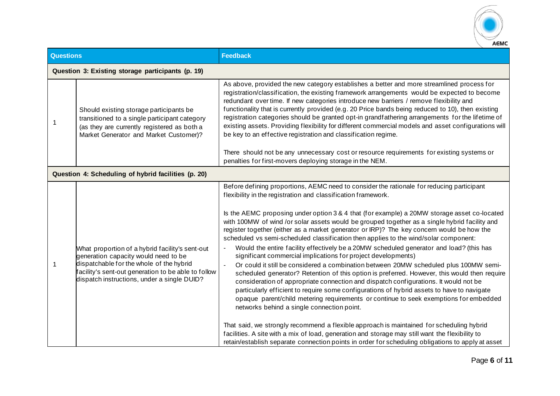

| <b>Questions</b> |                                                                                                                                                                                                                                          | <b>Feedback</b>                                                                                                                                                                                                                                                                                                                                                                                                                                                                                                                                                                                                                                                                                                                                                                                                                                                                                                                                                                                                                                                                                                                                                                                                                                                                                                                                                                                                                                                                                                                       |
|------------------|------------------------------------------------------------------------------------------------------------------------------------------------------------------------------------------------------------------------------------------|---------------------------------------------------------------------------------------------------------------------------------------------------------------------------------------------------------------------------------------------------------------------------------------------------------------------------------------------------------------------------------------------------------------------------------------------------------------------------------------------------------------------------------------------------------------------------------------------------------------------------------------------------------------------------------------------------------------------------------------------------------------------------------------------------------------------------------------------------------------------------------------------------------------------------------------------------------------------------------------------------------------------------------------------------------------------------------------------------------------------------------------------------------------------------------------------------------------------------------------------------------------------------------------------------------------------------------------------------------------------------------------------------------------------------------------------------------------------------------------------------------------------------------------|
|                  | Question 3: Existing storage participants (p. 19)                                                                                                                                                                                        |                                                                                                                                                                                                                                                                                                                                                                                                                                                                                                                                                                                                                                                                                                                                                                                                                                                                                                                                                                                                                                                                                                                                                                                                                                                                                                                                                                                                                                                                                                                                       |
| -1               | Should existing storage participants be<br>transitioned to a single participant category<br>(as they are currently registered as both a<br>Market Generator and Market Customer)?                                                        | As above, provided the new category establishes a better and more streamlined process for<br>registration/classification, the existing framework arrangements would be expected to become<br>redundant over time. If new categories introduce new barriers / remove flexibility and<br>functionality that is currently provided (e.g. 20 Price bands being reduced to 10), then existing<br>registration categories should be granted opt-in grandfathering arrangements for the lifetime of<br>existing assets. Providing flexibility for different commercial models and asset configurations will<br>be key to an effective registration and classification regime.                                                                                                                                                                                                                                                                                                                                                                                                                                                                                                                                                                                                                                                                                                                                                                                                                                                                |
|                  |                                                                                                                                                                                                                                          | There should not be any unnecessary cost or resource requirements for existing systems or<br>penalties for first-movers deploying storage in the NEM.                                                                                                                                                                                                                                                                                                                                                                                                                                                                                                                                                                                                                                                                                                                                                                                                                                                                                                                                                                                                                                                                                                                                                                                                                                                                                                                                                                                 |
|                  | Question 4: Scheduling of hybrid facilities (p. 20)                                                                                                                                                                                      |                                                                                                                                                                                                                                                                                                                                                                                                                                                                                                                                                                                                                                                                                                                                                                                                                                                                                                                                                                                                                                                                                                                                                                                                                                                                                                                                                                                                                                                                                                                                       |
| 1                | What proportion of a hybrid facility's sent-out<br>generation capacity would need to be<br>dispatchable for the whole of the hybrid<br>acility's sent-out generation to be able to follow<br>dispatch instructions, under a single DUID? | Before defining proportions, AEMC need to consider the rationale for reducing participant<br>flexibility in the registration and classification framework.<br>Is the AEMC proposing under option 3 & 4 that (for example) a 20MW storage asset co-located<br>with 100MW of wind /or solar assets would be grouped together as a single hybrid facility and<br>register together (either as a market generator or IRP)? The key concern would be how the<br>scheduled vs semi-scheduled classification then applies to the wind/solar component:<br>Would the entire facility effectively be a 20MW scheduled generator and load? (this has<br>significant commercial implications for project developments)<br>Or could it still be considered a combination between 20MW scheduled plus 100MW semi-<br>scheduled generator? Retention of this option is preferred. However, this would then require<br>consideration of appropriate connection and dispatch configurations. It would not be<br>particularly efficient to require some configurations of hybrid assets to have to navigate<br>opaque parent/child metering requirements or continue to seek exemptions for embedded<br>networks behind a single connection point.<br>That said, we strongly recommend a flexible approach is maintained for scheduling hybrid<br>facilities. A site with a mix of load, generation and storage may still want the flexibility to<br>retain/establish separate connection points in order for scheduling obligations to apply at asset |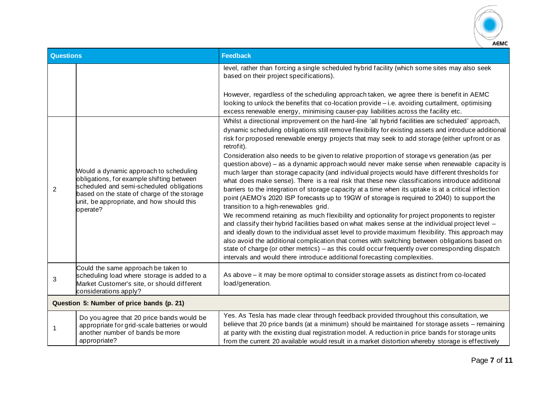

| <b>Questions</b> |                                                                                                                                                                                                                                         | <b>Feedback</b>                                                                                                                                                                                                                                                                                                                                                                                                                                                                                                                                                                                                                                                                                                                                                                                                                                                                                                                                                                                                                                                                                                                                                                                                                         |  |
|------------------|-----------------------------------------------------------------------------------------------------------------------------------------------------------------------------------------------------------------------------------------|-----------------------------------------------------------------------------------------------------------------------------------------------------------------------------------------------------------------------------------------------------------------------------------------------------------------------------------------------------------------------------------------------------------------------------------------------------------------------------------------------------------------------------------------------------------------------------------------------------------------------------------------------------------------------------------------------------------------------------------------------------------------------------------------------------------------------------------------------------------------------------------------------------------------------------------------------------------------------------------------------------------------------------------------------------------------------------------------------------------------------------------------------------------------------------------------------------------------------------------------|--|
|                  |                                                                                                                                                                                                                                         | level, rather than forcing a single scheduled hybrid facility (which some sites may also seek<br>based on their project specifications).                                                                                                                                                                                                                                                                                                                                                                                                                                                                                                                                                                                                                                                                                                                                                                                                                                                                                                                                                                                                                                                                                                |  |
|                  |                                                                                                                                                                                                                                         | However, regardless of the scheduling approach taken, we agree there is benefit in AEMC<br>looking to unlock the benefits that co-location provide - i.e. avoiding curtailment, optimising<br>excess renewable energy, minimising causer-pay liabilities across the facility etc.<br>Whilst a directional improvement on the hard-line 'all hybrid facilities are scheduled' approach,                                                                                                                                                                                                                                                                                                                                                                                                                                                                                                                                                                                                                                                                                                                                                                                                                                                  |  |
|                  |                                                                                                                                                                                                                                         | dynamic scheduling obligations still remove flexibility for existing assets and introduce additional<br>risk for proposed renewable energy projects that may seek to add storage (either upfront or as<br>retrofit).                                                                                                                                                                                                                                                                                                                                                                                                                                                                                                                                                                                                                                                                                                                                                                                                                                                                                                                                                                                                                    |  |
| 2                | Would a dynamic approach to scheduling<br>obligations, for example shifting between<br>scheduled and semi-scheduled obligations<br>based on the state of charge of the storage<br>unit, be appropriate, and how should this<br>operate? | Consideration also needs to be given to relative proportion of storage vs generation (as per<br>question above) - as a dynamic approach would never make sense when renewable capacity is<br>much larger than storage capacity (and individual projects would have different thresholds for<br>what does make sense). There is a real risk that these new classifications introduce additional<br>barriers to the integration of storage capacity at a time when its uptake is at a critical inflection<br>point (AEMO's 2020 ISP forecasts up to 19GW of storage is required to 2040) to support the<br>transition to a high-renewables grid.<br>We recommend retaining as much flexibility and optionality for project proponents to register<br>and classify their hybrid facilities based on what makes sense at the individual project level -<br>and ideally down to the individual asset level to provide maximum flexibility. This approach may<br>also avoid the additional complication that comes with switching between obligations based on<br>state of charge (or other metrics) - as this could occur frequently over corresponding dispatch<br>intervals and would there introduce additional forecasting complexities. |  |
| 3                | Could the same approach be taken to<br>scheduling load where storage is added to a<br>Market Customer's site, or should different<br>considerations apply?                                                                              | As above – it may be more optimal to consider storage assets as distinct from co-located<br>load/generation.                                                                                                                                                                                                                                                                                                                                                                                                                                                                                                                                                                                                                                                                                                                                                                                                                                                                                                                                                                                                                                                                                                                            |  |
|                  | Question 5: Number of price bands (p. 21)                                                                                                                                                                                               |                                                                                                                                                                                                                                                                                                                                                                                                                                                                                                                                                                                                                                                                                                                                                                                                                                                                                                                                                                                                                                                                                                                                                                                                                                         |  |
| -1               | Do you agree that 20 price bands would be<br>appropriate for grid-scale batteries or would<br>another number of bands be more<br>appropriate?                                                                                           | Yes. As Tesla has made clear through feedback provided throughout this consultation, we<br>believe that 20 price bands (at a minimum) should be maintained for storage assets - remaining<br>at parity with the existing dual registration model. A reduction in price bands for storage units<br>from the current 20 available would result in a market distortion whereby storage is effectively                                                                                                                                                                                                                                                                                                                                                                                                                                                                                                                                                                                                                                                                                                                                                                                                                                      |  |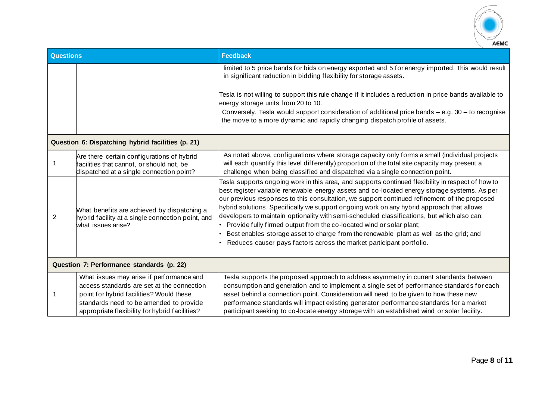

| <b>Questions</b>                          |                                                                                                                                                                                                                                 | <b>Feedback</b>                                                                                                                                                                                                                                                                                                                                                                                                                                                                                                                                                                                                                                                                                                                         |
|-------------------------------------------|---------------------------------------------------------------------------------------------------------------------------------------------------------------------------------------------------------------------------------|-----------------------------------------------------------------------------------------------------------------------------------------------------------------------------------------------------------------------------------------------------------------------------------------------------------------------------------------------------------------------------------------------------------------------------------------------------------------------------------------------------------------------------------------------------------------------------------------------------------------------------------------------------------------------------------------------------------------------------------------|
|                                           |                                                                                                                                                                                                                                 | limited to 5 price bands for bids on energy exported and 5 for energy imported. This would result<br>in significant reduction in bidding flexibility for storage assets.                                                                                                                                                                                                                                                                                                                                                                                                                                                                                                                                                                |
|                                           |                                                                                                                                                                                                                                 | Tesla is not willing to support this rule change if it includes a reduction in price bands available to<br>energy storage units from 20 to 10.<br>Conversely, Tesla would support consideration of additional price bands - e.g. 30 - to recognise<br>the move to a more dynamic and rapidly changing dispatch profile of assets.                                                                                                                                                                                                                                                                                                                                                                                                       |
|                                           |                                                                                                                                                                                                                                 |                                                                                                                                                                                                                                                                                                                                                                                                                                                                                                                                                                                                                                                                                                                                         |
|                                           | Question 6: Dispatching hybrid facilities (p. 21)                                                                                                                                                                               |                                                                                                                                                                                                                                                                                                                                                                                                                                                                                                                                                                                                                                                                                                                                         |
|                                           | Are there certain configurations of hybrid<br>facilities that cannot, or should not, be<br>dispatched at a single connection point?                                                                                             | As noted above, configurations where storage capacity only forms a small (individual projects<br>will each quantify this level differently) proportion of the total site capacity may present a<br>challenge when being classified and dispatched via a single connection point.                                                                                                                                                                                                                                                                                                                                                                                                                                                        |
| 2                                         | What benefits are achieved by dispatching a<br>hybrid facility at a single connection point, and<br>what issues arise?                                                                                                          | Tesla supports ongoing work in this area, and supports continued flexibility in respect of how to<br>best register variable renewable energy assets and co-located energy storage systems. As per<br>our previous responses to this consultation, we support continued refinement of the proposed<br>hybrid solutions. Specifically we support ongoing work on any hybrid approach that allows<br>developers to maintain optionality with semi-scheduled classifications, but which also can:<br>Provide fully firmed output from the co-located wind or solar plant;<br>Best enables storage asset to charge from the renewable plant as well as the grid; and<br>Reduces causer pays factors across the market participant portfolio. |
| Question 7: Performance standards (p. 22) |                                                                                                                                                                                                                                 |                                                                                                                                                                                                                                                                                                                                                                                                                                                                                                                                                                                                                                                                                                                                         |
| -1                                        | What issues may arise if performance and<br>access standards are set at the connection<br>point for hybrid facilities? Would these<br>standards need to be amended to provide<br>appropriate flexibility for hybrid facilities? | Tesla supports the proposed approach to address asymmetry in current standards between<br>consumption and generation and to implement a single set of performance standards for each<br>asset behind a connection point. Consideration will need to be given to how these new<br>performance standards will impact existing generator performance standards for a market<br>participant seeking to co-locate energy storage with an established wind or solar facility.                                                                                                                                                                                                                                                                 |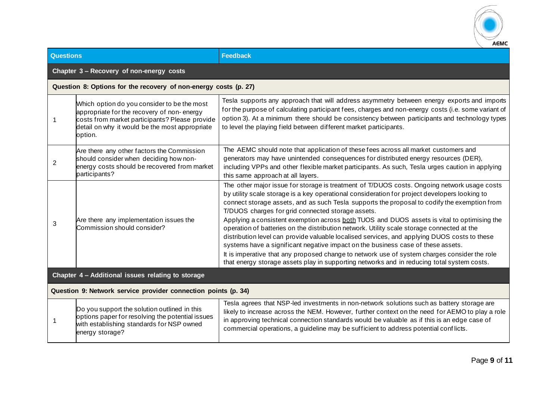

| <b>Questions</b>                                               |                                                                                                                                                                                                          | <b>Feedback</b>                                                                                                                                                                                                                                                                                                                                                                                                                                                                                                                                                                                                                                                                                                                                                                                                                                                                                                                  |  |
|----------------------------------------------------------------|----------------------------------------------------------------------------------------------------------------------------------------------------------------------------------------------------------|----------------------------------------------------------------------------------------------------------------------------------------------------------------------------------------------------------------------------------------------------------------------------------------------------------------------------------------------------------------------------------------------------------------------------------------------------------------------------------------------------------------------------------------------------------------------------------------------------------------------------------------------------------------------------------------------------------------------------------------------------------------------------------------------------------------------------------------------------------------------------------------------------------------------------------|--|
| Chapter 3 - Recovery of non-energy costs                       |                                                                                                                                                                                                          |                                                                                                                                                                                                                                                                                                                                                                                                                                                                                                                                                                                                                                                                                                                                                                                                                                                                                                                                  |  |
|                                                                | Question 8: Options for the recovery of non-energy costs (p. 27)                                                                                                                                         |                                                                                                                                                                                                                                                                                                                                                                                                                                                                                                                                                                                                                                                                                                                                                                                                                                                                                                                                  |  |
|                                                                | Which option do you consider to be the most<br>appropriate for the recovery of non-energy<br>costs from market participants? Please provide<br>detail on why it would be the most appropriate<br>option. | Tesla supports any approach that will address asymmetry between energy exports and imports<br>for the purpose of calculating participant fees, charges and non-energy costs (i.e. some variant of<br>option 3). At a minimum there should be consistency between participants and technology types<br>to level the playing field between different market participants.                                                                                                                                                                                                                                                                                                                                                                                                                                                                                                                                                          |  |
| 2                                                              | Are there any other factors the Commission<br>should consider when deciding how non-<br>energy costs should be recovered from market<br>participants?                                                    | The AEMC should note that application of these fees across all market customers and<br>generators may have unintended consequences for distributed energy resources (DER),<br>including VPPs and other flexible market participants. As such, Tesla urges caution in applying<br>this same approach at all layers.                                                                                                                                                                                                                                                                                                                                                                                                                                                                                                                                                                                                               |  |
| 3                                                              | Are there any implementation issues the<br>Commission should consider?                                                                                                                                   | The other major issue for storage is treatment of T/DUOS costs. Ongoing network usage costs<br>by utility scale storage is a key operational consideration for project developers looking to<br>connect storage assets, and as such Tesla supports the proposal to codify the exemption from<br>T/DUOS charges for grid connected storage assets.<br>Applying a consistent exemption across both TUOS and DUOS assets is vital to optimising the<br>operation of batteries on the distribution network. Utility scale storage connected at the<br>distribution level can provide valuable localised services, and applying DUOS costs to these<br>systems have a significant negative impact on the business case of these assets.<br>It is imperative that any proposed change to network use of system charges consider the role<br>that energy storage assets play in supporting networks and in reducing total system costs. |  |
| Chapter 4 - Additional issues relating to storage              |                                                                                                                                                                                                          |                                                                                                                                                                                                                                                                                                                                                                                                                                                                                                                                                                                                                                                                                                                                                                                                                                                                                                                                  |  |
| Question 9: Network service provider connection points (p. 34) |                                                                                                                                                                                                          |                                                                                                                                                                                                                                                                                                                                                                                                                                                                                                                                                                                                                                                                                                                                                                                                                                                                                                                                  |  |
|                                                                | Do you support the solution outlined in this<br>options paper for resolving the potential issues<br>with establishing standards for NSP owned<br>energy storage?                                         | Tesla agrees that NSP-led investments in non-network solutions such as battery storage are<br>likely to increase across the NEM. However, further context on the need for AEMO to play a role<br>in approving technical connection standards would be valuable as if this is an edge case of<br>commercial operations, a guideline may be sufficient to address potential conflicts.                                                                                                                                                                                                                                                                                                                                                                                                                                                                                                                                             |  |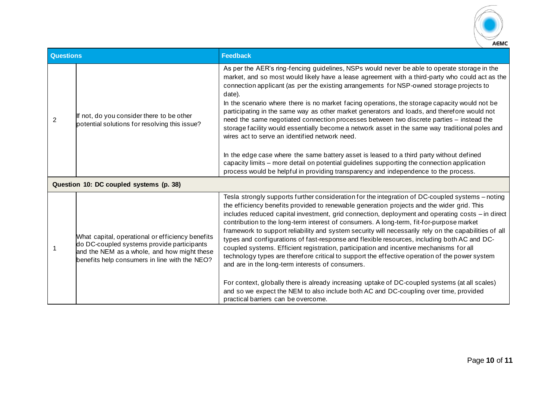

| <b>Questions</b> |                                                                                                                                                                                                | <b>Feedback</b>                                                                                                                                                                                                                                                                                                                                                                                                                                                                                                                                                                                                                                                                                                                                                                                                                                                                                                                                                                                                                                                                          |  |
|------------------|------------------------------------------------------------------------------------------------------------------------------------------------------------------------------------------------|------------------------------------------------------------------------------------------------------------------------------------------------------------------------------------------------------------------------------------------------------------------------------------------------------------------------------------------------------------------------------------------------------------------------------------------------------------------------------------------------------------------------------------------------------------------------------------------------------------------------------------------------------------------------------------------------------------------------------------------------------------------------------------------------------------------------------------------------------------------------------------------------------------------------------------------------------------------------------------------------------------------------------------------------------------------------------------------|--|
| 2                | If not, do you consider there to be other<br>potential solutions for resolving this issue?                                                                                                     | As per the AER's ring-fencing guidelines, NSPs would never be able to operate storage in the<br>market, and so most would likely have a lease agreement with a third-party who could act as the<br>connection applicant (as per the existing arrangements for NSP-owned storage projects to<br>date).<br>In the scenario where there is no market facing operations, the storage capacity would not be<br>participating in the same way as other market generators and loads, and therefore would not<br>need the same negotiated connection processes between two discrete parties - instead the<br>storage facility would essentially become a network asset in the same way traditional poles and<br>wires act to serve an identified network need.<br>In the edge case where the same battery asset is leased to a third party without defined<br>capacity limits - more detail on potential guidelines supporting the connection application<br>process would be helpful in providing transparency and independence to the process.                                                 |  |
|                  | Question 10: DC coupled systems (p. 38)                                                                                                                                                        |                                                                                                                                                                                                                                                                                                                                                                                                                                                                                                                                                                                                                                                                                                                                                                                                                                                                                                                                                                                                                                                                                          |  |
|                  | What capital, operational or efficiency benefits<br>do DC-coupled systems provide participants<br>and the NEM as a whole, and how might these<br>benefits help consumers in line with the NEO? | Tesla strongly supports further consideration for the integration of DC-coupled systems – noting<br>the efficiency benefits provided to renewable generation projects and the wider grid. This<br>includes reduced capital investment, grid connection, deployment and operating costs - in direct<br>contribution to the long-term interest of consumers. A long-term, fit-for-purpose market<br>framework to support reliability and system security will necessarily rely on the capabilities of all<br>types and configurations of fast-response and flexible resources, including both AC and DC-<br>coupled systems. Efficient registration, participation and incentive mechanisms for all<br>technology types are therefore critical to support the effective operation of the power system<br>and are in the long-term interests of consumers.<br>For context, globally there is already increasing uptake of DC-coupled systems (at all scales)<br>and so we expect the NEM to also include both AC and DC-coupling over time, provided<br>practical barriers can be overcome. |  |